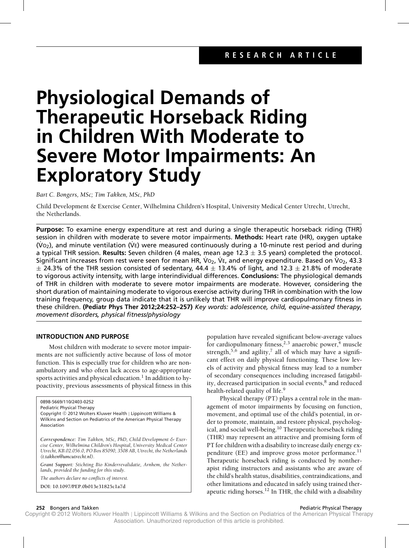# **Physiological Demands of Therapeutic Horseback Riding in Children With Moderate to Severe Motor Impairments: An Exploratory Study**

*Bart C. Bongers, MSc; Tim Takken, MSc, PhD*

Child Development & Exercise Center, Wilhelmina Children's Hospital, University Medical Center Utrecht, Utrecht, the Netherlands.

**Purpose:** To examine energy expenditure at rest and during a single therapeutic horseback riding (THR) session in children with moderate to severe motor impairments. **Methods:** Heart rate (HR), oxygen uptake  $(\dot{V}_{Q2})$ , and minute ventilation (VE) were measured continuously during a 10-minute rest period and during a typical THR session. **Results:** Seven children (4 males, mean age 12.3 ± 3.5 years) completed the protocol. Significant increases from rest were seen for mean HR,  $\dot{V}$ O<sub>2</sub>,  $\dot{V}$ E, and energy expenditure. Based on  $\dot{V}$ O<sub>2</sub>, 43.3  $\pm$  24.3% of the THR session consisted of sedentary, 44.4  $\pm$  13.4% of light, and 12.3  $\pm$  21.8% of moderate to vigorous activity intensity, with large interindividual differences. **Conclusions:** The physiological demands of THR in children with moderate to severe motor impairments are moderate. However, considering the short duration of maintaining moderate to vigorous exercise activity during THR in combination with the low training frequency, group data indicate that it is unlikely that THR will improve cardiopulmonary fitness in these children. **(Pediatr Phys Ther 2012;24:252–257)** *Key words: adolescence, child, equine-assisted therapy, movement disorders, physical fitness/physiology*

# **INTRODUCTION AND PURPOSE**

Most children with moderate to severe motor impairments are not sufficiently active because of loss of motor function. This is especially true for children who are nonambulatory and who often lack access to age-appropriate sports activities and physical education.<sup>1</sup> In addition to hypoactivity, previous assessments of physical fitness in this

0898-5669/110/2403-0252

Pediatric Physical Therapy

Copyright © 2012 Wolters Kluwer Health | Lippincott Williams & Wilkins and Section on Pediatrics of the American Physical Therapy Association

*Correspondence: Tim Takken, MSc, PhD, Child Development & Exercise Center, Wilhelmina Children's Hospital, University Medical Center Utrecht, KB.02.056.0, PO Box 85090, 3508 AB, Utrecht, the Netherlands [\(t.takken@umcutrecht.nl\).](mailto:(t.takken@umcutrecht.nl).)*

*Grant Support: Stichting Bio Kinderrevalidatie, Arnhem, the Netherlands, provided the funding for this study.*

*The authors declare no conflicts of interest.*

**DOI: 10.1097/PEP.0b013e31825c1a7d**

population have revealed significant below-average values for cardiopulmonary fitness,<sup>2,3</sup> anaerobic power,<sup>4</sup> muscle strength,<sup>5,6</sup> and agility,<sup>7</sup> all of which may have a significant effect on daily physical functioning. These low levels of activity and physical fitness may lead to a number of secondary consequences including increased fatigability, decreased participation in social events,<sup>8</sup> and reduced health-related quality of life.<sup>9</sup>

Physical therapy (PT) plays a central role in the management of motor impairments by focusing on function, movement, and optimal use of the child's potential, in order to promote, maintain, and restore physical, psychological, and social well-being.<sup>10</sup> Therapeutic horseback riding (THR) may represent an attractive and promising form of PT for children with a disability to increase daily energy expenditure (EE) and improve gross motor performance.<sup>11</sup> Therapeutic horseback riding is conducted by nontherapist riding instructors and assistants who are aware of the child's health status, disabilities, contraindications, and other limitations and educated in safely using trained therapeutic riding horses.<sup>12</sup> In THR, the child with a disability

### **252** Bongers and Takken **Pediatric Physical Therapy Pediatric Physical Therapy Pediatric Physical Therapy**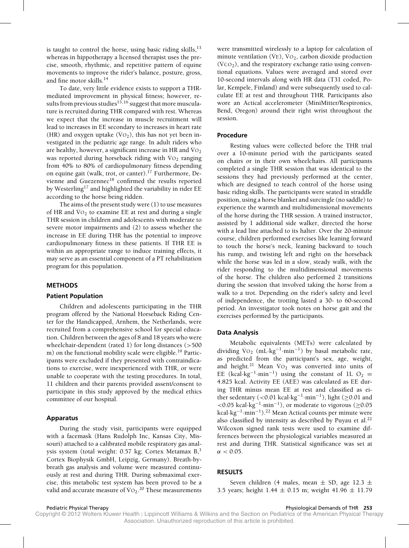is taught to control the horse, using basic riding skills, $^{13}$ whereas in hippotherapy a licensed therapist uses the precise, smooth, rhythmic, and repetitive pattern of equine movements to improve the rider's balance, posture, gross, and fine motor skills.<sup>14</sup>

To date, very little evidence exists to support a THRmediated improvement in physical fitness; however, results from previous studies<sup>15,16</sup> suggest that more musculature is recruited during THR compared with rest. Whereas we expect that the increase in muscle recruitment will lead to increases in EE secondary to increases in heart rate (HR) and oxygen uptake ( $\rm\dot{Vo}_2$ ), this has not yet been investigated in the pediatric age range. In adult riders who are healthy, however, a significant increase in HR and  $\overline{V}O_2$ was reported during horseback riding with  $VO<sub>2</sub>$  ranging from 40% to 80% of cardiopulmonary fitness depending on equine gait (walk, trot, or canter).<sup>17</sup> Furthermore, Devienne and Guezennec<sup>18</sup> confirmed the results reported by Westerling<sup>17</sup> and highlighted the variability in rider EE according to the horse being ridden.

The aims of the present study were (1) to use measures of HR and  $\overline{V}O_2$  to examine EE at rest and during a single THR session in children and adolescents with moderate to severe motor impairments and (2) to assess whether the increase in EE during THR has the potential to improve cardiopulmonary fitness in these patients. If THR EE is within an appropriate range to induce training effects, it may serve as an essential component of a PT rehabilitation program for this population.

# **METHODS**

### **Patient Population**

Children and adolescents participating in the THR program offered by the National Horseback Riding Center for the Handicapped, Arnhem, the Netherlands, were recruited from a comprehensive school for special education. Children between the ages of 8 and 18 years who were wheelchair-dependent (rated 1) for long distances (>500 m) on the functional mobility scale were eligible.<sup>19</sup> Participants were excluded if they presented with contraindications to exercise, were inexperienced with THR, or were unable to cooperate with the testing procedures. In total, 11 children and their parents provided assent/consent to participate in this study approved by the medical ethics committee of our hospital.

### **Apparatus**

During the study visit, participants were equipped with a facemask (Hans Rudolph Inc, Kansas City, Missouri) attached to a calibrated mobile respiratory gas analysis system (total weight:  $0.57$  kg; Cortex Metamax  $B<sub>1</sub>$ <sup>3</sup> Cortex Biophysik GmbH, Leipzig, Germany). Breath-bybreath gas analysis and volume were measured continuously at rest and during THR. During submaximal exercise, this metabolic test system has been proved to be a valid and accurate measure of  $\mathrm{Vo}_{2}.^\mathrm{20}$  These measurements

were transmitted wirelessly to a laptop for calculation of minute ventilation  $(\dot{V}E)$ ,  $\dot{V}O_2$ , carbon dioxide production  $(\dot{V}CO<sub>2</sub>)$ , and the respiratory exchange ratio using conventional equations. Values were averaged and stored over 10-second intervals along with HR data (T31 coded, Polar, Kempele, Finland) and were subsequently used to calculate EE at rest and throughout THR. Participants also wore an Actical accelerometer (MiniMitter/Respironics, Bend, Oregon) around their right wrist throughout the session.

## **Procedure**

Resting values were collected before the THR trial over a 10-minute period with the participants seated on chairs or in their own wheelchairs. All participants completed a single THR session that was identical to the sessions they had previously performed at the center, which are designed to teach control of the horse using basic riding skills. The participants were seated in straddle position, using a horse blanket and surcingle (no saddle) to experience the warmth and multidimensional movements of the horse during the THR session. A trained instructor, assisted by 1 additional side walker, directed the horse with a lead line attached to its halter. Over the 20-minute course, children performed exercises like leaning forward to touch the horse's neck, leaning backward to touch his rump, and twisting left and right on the horseback while the horse was led in a slow, steady walk, with the rider responding to the multidimensional movements of the horse. The children also performed 2 transitions during the session that involved taking the horse from a walk to a trot. Depending on the rider's safety and level of independence, the trotting lasted a 30- to 60-second period. An investigator took notes on horse gait and the exercises performed by the participants.

### **Data Analysis**

Metabolic equivalents (METs) were calculated by dividing  $\text{Vo}_2$  (mL·kg<sup>-1</sup>·min<sup>-1</sup>) by basal metabolic rate, as predicted from the participant's sex, age, weight, and height.<sup>21</sup> Mean  $\text{Vo}_2$  was converted into units of EE (kcal·kg<sup>-1</sup>·min<sup>-1</sup>) using the constant of 1L O<sub>2</sub> = 4.825 kcal. Activity EE (AEE) was calculated as EE during THR minus mean EE at rest and classified as either sedentary (<0.01 kcal·kg<sup>-1</sup>·min<sup>-1</sup>), light (≥0.01 and  $<0.05$  kcal·kg<sup>-1</sup>·min<sup>-1</sup>), or moderate to vigorous (>0.05 kcal·kg<sup>-1</sup>·min<sup>-1</sup>).<sup>22</sup> Mean Actical counts per minute were also classified by intensity as described by Puyau et al. $22$ Wilcoxon signed rank tests were used to examine differences between the physiological variables measured at rest and during THR. Statistical significance was set at  $\alpha < 0.05$ .

### **RESULTS**

Seven children (4 males, mean  $\pm$  SD, age 12.3  $\pm$ 3.5 years; height  $1.44 \pm 0.15$  m; weight  $41.96 \pm 11.79$ 

Pediatric Physical Therapy Physiological Demands of THR **253**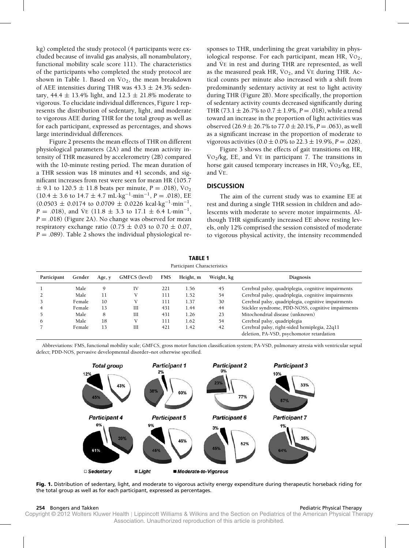kg) completed the study protocol (4 participants were excluded because of invalid gas analysis, all nonambulatory, functional mobility scale score 111). The characteristics of the participants who completed the study protocol are shown in Table 1. Based on  $\overline{V}O_2$ , the mean breakdown of AEE intensities during THR was  $43.3 \pm 24.3$ % sedentary, 44.4  $\pm$  13.4% light, and 12.3  $\pm$  21.8% moderate to vigorous. To elucidate individual differences, Figure 1 represents the distribution of sedentary, light, and moderate to vigorous AEE during THR for the total group as well as for each participant, expressed as percentages, and shows large interindividual differences.

Figure 2 presents the mean effects of THR on different physiological parameters (2A) and the mean activity intensity of THR measured by accelerometry (2B) compared with the 10-minute resting period. The mean duration of a THR session was 18 minutes and 41 seconds, and significant increases from rest were seen for mean HR (105.7  $\pm$  9.1 to 120.5  $\pm$  11.8 beats per minute, *P* = .018),  $\dot{V}$ O<sub>2</sub>  $(10.4 \pm 3.6 \text{ to } 14.7 \pm 4.7 \text{ mL} \cdot \text{kg}^{-1} \cdot \text{min}^{-1}, P = .018)$ , EE  $(0.0503 \pm 0.0174$  to  $0.0709 \pm 0.0226$  kcal·kg<sup>-1</sup>·min<sup>-1</sup>, *P* = .018), and V<sup>E</sup> (11.8  $\pm$  3.3 to 17.1  $\pm$  6.4 L·min<sup>-1</sup>, *P* = .018) (Figure 2A). No change was observed for mean respiratory exchange ratio (0.75  $\pm$  0.03 to 0.70  $\pm$  0.07,  $P = .089$ ). Table 2 shows the individual physiological responses to THR, underlining the great variability in physiological response. For each participant, mean HR,  $VO<sub>2</sub>$ , and  $\overline{VE}$  in rest and during THR are represented, as well as the measured peak HR,  $\dot{V}O_2$ , and  $\dot{V}E$  during THR. Actical counts per minute also increased with a shift from predominantly sedentary activity at rest to light activity during THR (Figure 2B). More specifically, the proportion of sedentary activity counts decreased significantly during THR (73.1  $\pm$  26.7% to 0.7  $\pm$  1.9%, *P* = .018), while a trend toward an increase in the proportion of light activities was observed  $(26.9 \pm 26.7\%$  to  $77.0 \pm 20.1\%, P = .063)$ , as well as a significant increase in the proportion of moderate to vigorous activities  $(0.0 \pm 0.0\%$  to  $22.3 \pm 19.9\%, P = .028)$ .

Figure 3 shows the effects of gait transitions on HR,  $\text{Vo}_2/\text{kg}$ , EE, and  $\text{Ve}$  in participant 7. The transitions in horse gait caused temporary increases in HR,  $\overline{V}O_2/kg$ , EE, and  $\overline{V}$ <sub>E</sub>.

# **DISCUSSION**

The aim of the current study was to examine EE at rest and during a single THR session in children and adolescents with moderate to severe motor impairments. Although THR significantly increased EE above resting levels, only 12% comprised the session consisted of moderate to vigorous physical activity, the intensity recommended

| .<br>Participant Characteristics |        |        |               |            |           |            |                                                     |  |  |  |  |  |  |
|----------------------------------|--------|--------|---------------|------------|-----------|------------|-----------------------------------------------------|--|--|--|--|--|--|
| Participant                      | Gender | Age, y | GMFCS (level) | <b>FMS</b> | Height, m | Weight, kg | <b>Diagnosis</b>                                    |  |  |  |  |  |  |
|                                  | Male   | 9      | IV            | 221        | 1.56      | 45         | Cerebral palsy, quadriplegia, cognitive impairments |  |  |  |  |  |  |
|                                  | Male   | 11     |               | 111        | 1.52      | 54         | Cerebral palsy, quadriplegia, cognitive impairments |  |  |  |  |  |  |
|                                  | Female | 10     |               | 111        | 1.37      | 30         | Cerebral palsy, quadriplegia, cognitive impairments |  |  |  |  |  |  |
|                                  | Female | 13     | III           | 431        | 1.44      | 44         | Stickler syndrome, PDD-NOSS, cognitive impairments  |  |  |  |  |  |  |
|                                  | Male   | 8      | III           | 431        | 1.26      | 23         | Mitochondrial disease (unknown)                     |  |  |  |  |  |  |
| O                                | Male   | 18     |               | 111        | 1.62      | 54         | Cerebral palsy, quadriplegia                        |  |  |  |  |  |  |
|                                  | Female | 13     | III           | 421        | 1.42      | 42         | Cerebral palsy, right-sided hemiplegia, 22q11       |  |  |  |  |  |  |
|                                  |        |        |               |            |           |            | deletion, PA-VSD, psychomotor retardation           |  |  |  |  |  |  |

**TABLE 1**

Abbreviations: FMS, functional mobility scale; GMFCS, gross motor function classification system; PA-VSD, pulmonary atresia with ventricular septal defect; PDD-NOS, pervasive developmental disorder–not otherwise specified.



**Fig. 1.** Distribution of sedentary, light, and moderate to vigorous activity energy expenditure during therapeutic horseback riding for the total group as well as for each participant, expressed as percentages.

### **254** Bongers and Takken **Pediatric Physical Therapy Pediatric Physical Therapy Pediatric Physical Therapy**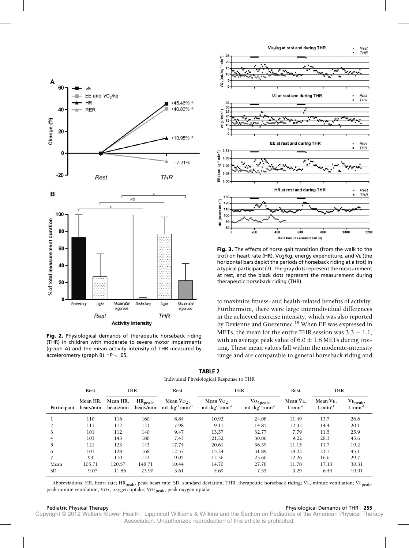

**Fig. 2.** Physiological demands of therapeutic horseback riding (THR) in children with moderate to severe motor impairments (graph A) and the mean activity intensity of THR measured by accelerometry (graph B). ∗*P* < .05.



**Fig. 3.** The effects of horse gait transition (from the walk to the trot) on heart rate (HR),  $V_0$ ,  $kq$ , energy expenditure, and  $V_E$  (the horizontal bars depict the periods of horseback riding at a trot) in a typical participant (7). The gray dots represent the measurement at rest, and the black dots represent the measurement during therapeutic horseback riding (THR).

to maximize fitness- and health-related benefits of activity. Furthermore, there were large interindividual differences in the achieved exercise intensity, which was also reported by Devienne and Guezennec.<sup>18</sup> When EE was expressed in METs, the mean for the entire THR session was  $3.3 \pm 1.1$ , with an average peak value of  $6.0 \pm 1.8$  METs during trotting. These mean values fall within the moderate-intensity range and are comparable to general horseback riding and

**TABLE 2** Individual Physiological Response to THR

| marriaga i hysiological response to TTHC |                       |                       |                          |                                                                      |                                                                      |                                                            |                                |                                |                                                       |  |  |  |  |
|------------------------------------------|-----------------------|-----------------------|--------------------------|----------------------------------------------------------------------|----------------------------------------------------------------------|------------------------------------------------------------|--------------------------------|--------------------------------|-------------------------------------------------------|--|--|--|--|
|                                          | Rest                  | <b>THR</b>            |                          | Rest                                                                 |                                                                      | <b>THR</b>                                                 | Rest                           | <b>THR</b>                     |                                                       |  |  |  |  |
| Participant                              | Mean HR,<br>beats/min | Mean HR,<br>beats/min | $HR_{peak}$<br>beats/min | Mean $\dot{V}$ O <sub>2</sub> ,<br>$mL \cdot kg^{-1} \cdot min^{-1}$ | Mean $\dot{V}$ O <sub>2</sub> ,<br>$mL \cdot kg^{-1} \cdot min^{-1}$ | VO <sub>2peak</sub> ,<br>$mL \cdot kg^{-1} \cdot min^{-1}$ | Mean VE,<br>$L \cdot min^{-1}$ | Mean VE,<br>$L \cdot min^{-1}$ | $\dot{V}E_{\text{peak}}$<br>$L \cdot \text{min}^{-1}$ |  |  |  |  |
|                                          | 110                   | 116                   | 160                      | 8.84                                                                 | 10.92                                                                | 24.08                                                      | 11.49                          | 13.7                           | 26.6                                                  |  |  |  |  |
|                                          | 111                   | 112                   | 121                      | 7.98                                                                 | 9.11                                                                 | 14.85                                                      | 12.32                          | 14.4                           | 20.1                                                  |  |  |  |  |
| 3                                        | 101                   | 112                   | 140                      | 9.47                                                                 | 13.37                                                                | 32.77                                                      | 7.79                           | 11.5                           | 25.9                                                  |  |  |  |  |
| $\overline{4}$                           | 103                   | 143                   | 186                      | 7.43                                                                 | 21.32                                                                | 30.86                                                      | 9.22                           | 28.3                           | 45.6                                                  |  |  |  |  |
| 5                                        | 121                   | 123                   | 143                      | 17.74                                                                | 20.61                                                                | 36.39                                                      | 11.15                          | 11.7                           | 19.2                                                  |  |  |  |  |
| 6                                        | 101                   | 128                   | 168                      | 12.57                                                                | 15.24                                                                | 31.89                                                      | 18.22                          | 23.7                           | 45.1                                                  |  |  |  |  |
|                                          | 93                    | 110                   | 123                      | 9.05                                                                 | 12.36                                                                | 23.60                                                      | 12.26                          | 16.6                           | 29.7                                                  |  |  |  |  |
| Mean                                     | 105.71                | 120.57                | 148.71                   | 10.44                                                                | 14.70                                                                | 27.78                                                      | 11.78                          | 17.13                          | 30.31                                                 |  |  |  |  |
| <b>SD</b>                                | 9.07                  | 11.86                 | 23.90                    | 3.61                                                                 | 4.69                                                                 | 7.35                                                       | 3.29                           | 6.44                           | 10.91                                                 |  |  |  |  |

Abbreviations: HR, heart rate; HR<sub>peak</sub>, peak heart rate; SD, standard deviation; THR, therapeutic horseback riding; VE, minute ventilation; VE<sub>peak</sub>, peak minute ventilation; VO<sub>2</sub>, oxygen uptake; VO<sub>2peak</sub>, peak oxygen uptake.

### Pediatric Physical Therapy Physiological Demands of THR **255**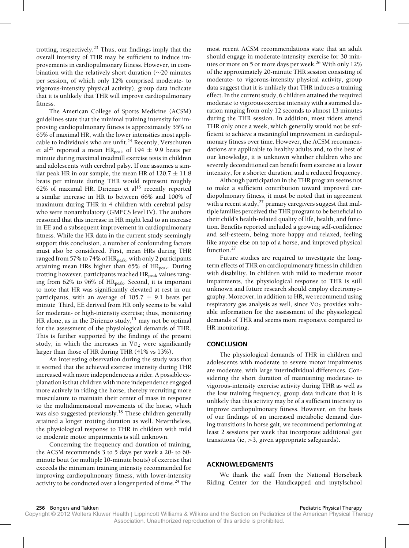trotting, respectively.<sup>23</sup> Thus, our findings imply that the overall intensity of THR may be sufficient to induce improvements in cardiopulmonary fitness. However, in combination with the relatively short duration (∼20 minutes per session, of which only 12% comprised moderate- to vigorous-intensity physical activity), group data indicate that it is unlikely that THR will improve cardiopulmonary fitness.

The American College of Sports Medicine (ACSM) guidelines state that the minimal training intensity for improving cardiopulmonary fitness is approximately 55% to 65% of maximal HR, with the lower intensities most applicable to individuals who are unfit. $24$  Recently, Verschuren et al<sup>25</sup> reported a mean HR<sub>peak</sub> of 194  $\pm$  9.9 beats per minute during maximal treadmill exercise tests in children and adolescents with cerebral palsy. If one assumes a similar peak HR in our sample, the mean HR of  $120.7 \pm 11.8$ beats per minute during THR would represent roughly 62% of maximal HR. Dirienzo et al<sup>15</sup> recently reported a similar increase in HR to between 66% and 100% of maximum during THR in 4 children with cerebral palsy who were nonambulatory (GMFCS level IV). The authors reasoned that this increase in HR might lead to an increase in EE and a subsequent improvement in cardiopulmonary fitness. While the HR data in the current study seemingly support this conclusion, a number of confounding factors must also be considered. First, mean HRs during THR ranged from 57% to 74% of  $HR_{peak}$ , with only 2 participants attaining mean HRs higher than 65% of HR<sub>peak</sub>. During trotting however, participants reached HR<sub>peak</sub> values ranging from 62% to 96% of HR<sub>peak</sub>. Second, it is important to note that HR was significantly elevated at rest in our participants, with an average of  $105.7 \pm 9.1$  beats per minute. Third, EE derived from HR only seems to be valid for moderate- or high-intensity exercise; thus, monitoring HR alone, as in the Dirienzo study, $15$  may not be optimal for the assessment of the physiological demands of THR. This is further supported by the findings of the present study, in which the increases in  $\overline{V}O_2$  were significantly larger than those of HR during THR (41% vs 13%).

An interesting observation during the study was that it seemed that the achieved exercise intensity during THR increased with more independence as a rider. A possible explanation is that children with more independence engaged more actively in riding the horse, thereby recruiting more musculature to maintain their center of mass in response to the multidimensional movements of the horse, which was also suggested previously.<sup>18</sup> These children generally attained a longer trotting duration as well. Nevertheless, the physiological response to THR in children with mild to moderate motor impairments is still unknown.

Concerning the frequency and duration of training, the ACSM recommends 3 to 5 days per week a 20- to 60 minute bout (or multiple 10-minute bouts) of exercise that exceeds the minimum training intensity recommended for improving cardiopulmonary fitness, with lower-intensity activity to be conducted over a longer period of time.<sup>24</sup> The most recent ACSM recommendations state that an adult should engage in moderate-intensity exercise for 30 minutes or more on 5 or more days per week.<sup>26</sup> With only  $12\%$ of the approximately 20-minute THR session consisting of moderate- to vigorous-intensity physical activity, group data suggest that it is unlikely that THR induces a training effect. In the current study, 6 children attained the required moderate to vigorous exercise intensity with a summed duration ranging from only 12 seconds to almost 13 minutes during the THR session. In addition, most riders attend THR only once a week, which generally would not be sufficient to achieve a meaningful improvement in cardiopulmonary fitness over time. However, the ACSM recommendations are applicable to healthy adults and, to the best of our knowledge, it is unknown whether children who are severely deconditioned can benefit from exercise at a lower intensity, for a shorter duration, and a reduced frequency.

Although participation in the THR program seems not to make a sufficient contribution toward improved cardiopulmonary fitness, it must be noted that in agreement with a recent study, $27$  primary caregivers suggest that multiple families perceived the THR program to be beneficial to their child's health-related quality of life, health, and function. Benefits reported included a growing self-confidence and self-esteem, being more happy and relaxed, feeling like anyone else on top of a horse, and improved physical function.<sup>27</sup>

Future studies are required to investigate the longterm effects of THR on cardiopulmonary fitness in children with disability. In children with mild to moderate motor impairments, the physiological response to THR is still unknown and future research should employ electromyography. Moreover, in addition to HR, we recommend using respiratory gas analysis as well, since  $\overline{V}O_2$  provides valuable information for the assessment of the physiological demands of THR and seems more responsive compared to HR monitoring.

### **CONCLUSION**

The physiological demands of THR in children and adolescents with moderate to severe motor impairments are moderate, with large interindividual differences. Considering the short duration of maintaining moderate- to vigorous-intensity exercise activity during THR as well as the low training frequency, group data indicate that it is unlikely that this activity may be of a sufficient intensity to improve cardiopulmonary fitness. However, on the basis of our findings of an increased metabolic demand during transitions in horse gait, we recommend performing at least 2 sessions per week that incorporate additional gait transitions (ie, >3, given appropriate safeguards).

# **ACKNOWLEDGMENTS**

We thank the staff from the National Horseback Riding Center for the Handicapped and mytylschool